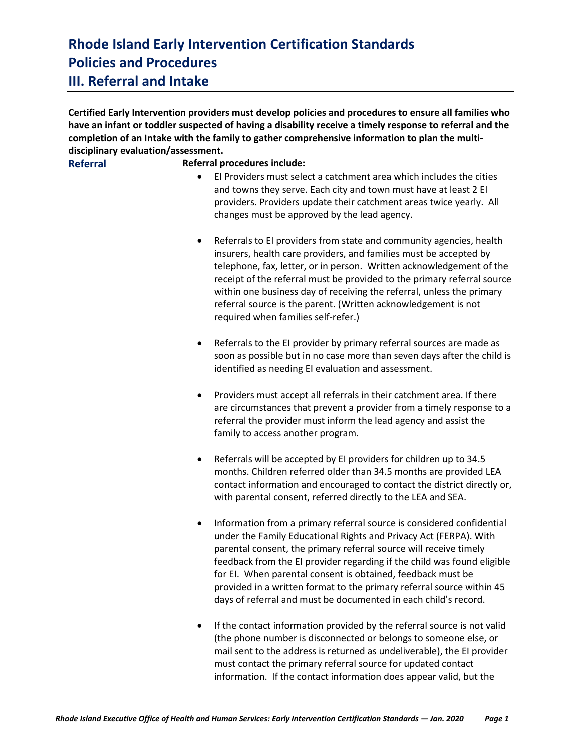**Certified Early Intervention providers must develop policies and procedures to ensure all families who have an infant or toddler suspected of having a disability receive a timely response to referral and the completion of an Intake with the family to gather comprehensive information to plan the multidisciplinary evaluation/assessment.** 

#### **Referral Referral procedures include:**

- EI Providers must select a catchment area which includes the cities and towns they serve. Each city and town must have at least 2 EI providers. Providers update their catchment areas twice yearly. All changes must be approved by the lead agency.
- Referrals to EI providers from state and community agencies, health insurers, health care providers, and families must be accepted by telephone, fax, letter, or in person. Written acknowledgement of the receipt of the referral must be provided to the primary referral source within one business day of receiving the referral, unless the primary referral source is the parent. (Written acknowledgement is not required when families self-refer.)
- Referrals to the EI provider by primary referral sources are made as soon as possible but in no case more than seven days after the child is identified as needing EI evaluation and assessment.
- Providers must accept all referrals in their catchment area. If there are circumstances that prevent a provider from a timely response to a referral the provider must inform the lead agency and assist the family to access another program.
- Referrals will be accepted by EI providers for children up to 34.5 months. Children referred older than 34.5 months are provided LEA contact information and encouraged to contact the district directly or, with parental consent, referred directly to the LEA and SEA.
- Information from a primary referral source is considered confidential under the Family Educational Rights and Privacy Act (FERPA). With parental consent, the primary referral source will receive timely feedback from the EI provider regarding if the child was found eligible for EI. When parental consent is obtained, feedback must be provided in a written format to the primary referral source within 45 days of referral and must be documented in each child's record.
- If the contact information provided by the referral source is not valid (the phone number is disconnected or belongs to someone else, or mail sent to the address is returned as undeliverable), the EI provider must contact the primary referral source for updated contact information. If the contact information does appear valid, but the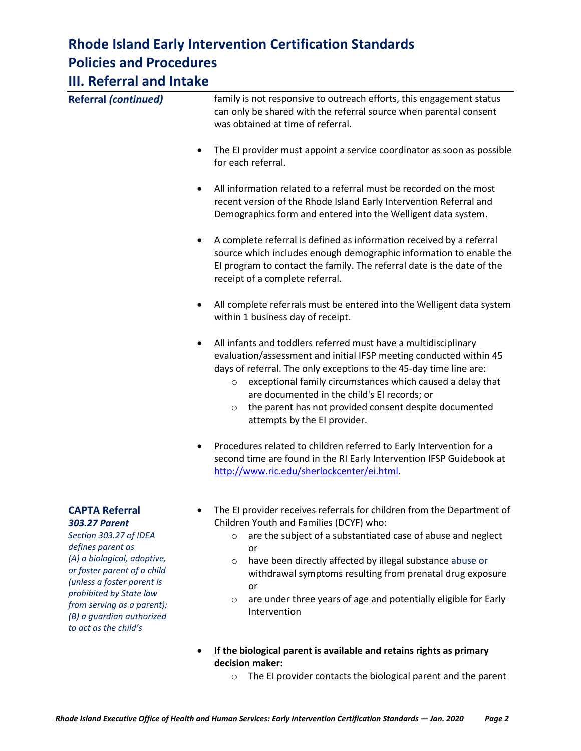| III. Keferral and Intake                                                                                                                                                                 |                                                                                                                                                                                                                                                                                                                                                                                                                                                |
|------------------------------------------------------------------------------------------------------------------------------------------------------------------------------------------|------------------------------------------------------------------------------------------------------------------------------------------------------------------------------------------------------------------------------------------------------------------------------------------------------------------------------------------------------------------------------------------------------------------------------------------------|
| <b>Referral (continued)</b>                                                                                                                                                              | family is not responsive to outreach efforts, this engagement status<br>can only be shared with the referral source when parental consent<br>was obtained at time of referral.                                                                                                                                                                                                                                                                 |
|                                                                                                                                                                                          | The EI provider must appoint a service coordinator as soon as possible<br>for each referral.                                                                                                                                                                                                                                                                                                                                                   |
|                                                                                                                                                                                          | All information related to a referral must be recorded on the most<br>٠<br>recent version of the Rhode Island Early Intervention Referral and<br>Demographics form and entered into the Welligent data system.                                                                                                                                                                                                                                 |
|                                                                                                                                                                                          | A complete referral is defined as information received by a referral<br>٠<br>source which includes enough demographic information to enable the<br>El program to contact the family. The referral date is the date of the<br>receipt of a complete referral.                                                                                                                                                                                   |
|                                                                                                                                                                                          | All complete referrals must be entered into the Welligent data system<br>٠<br>within 1 business day of receipt.                                                                                                                                                                                                                                                                                                                                |
|                                                                                                                                                                                          | All infants and toddlers referred must have a multidisciplinary<br>٠<br>evaluation/assessment and initial IFSP meeting conducted within 45<br>days of referral. The only exceptions to the 45-day time line are:<br>exceptional family circumstances which caused a delay that<br>$\circ$<br>are documented in the child's EI records; or<br>the parent has not provided consent despite documented<br>$\circ$<br>attempts by the EI provider. |
|                                                                                                                                                                                          | Procedures related to children referred to Early Intervention for a<br>٠<br>second time are found in the RI Early Intervention IFSP Guidebook at<br>http://www.ric.edu/sherlockcenter/ei.html.                                                                                                                                                                                                                                                 |
| <b>CAPTA Referral</b><br><b>303.27 Parent</b><br>Section 303.27 of IDEA<br>defines parent as<br>(A) a biological, adoptive,<br>or foster parent of a child<br>(unless a foster parent is | The EI provider receives referrals for children from the Department of<br>Children Youth and Families (DCYF) who:<br>are the subject of a substantiated case of abuse and neglect<br>or<br>have been directly affected by illegal substance abuse or<br>$\circ$<br>withdrawal symptoms resulting from prenatal drug exposure                                                                                                                   |

or

*prohibited by State law from serving as a parent); (B) a guardian authorized to act as the child's* 

- o are under three years of age and potentially eligible for Early Intervention
- **If the biological parent is available and retains rights as primary decision maker:**
	- o The EI provider contacts the biological parent and the parent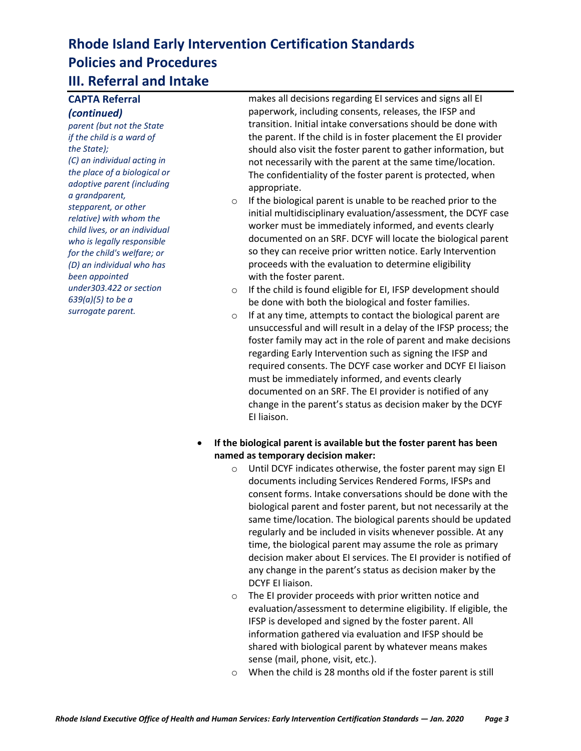#### **CAPTA Referral**  *(continued)*

*parent (but not the State if the child is a ward of the State); (C) an individual acting in the place of a biological or adoptive parent (including a grandparent, stepparent, or other relative) with whom the child lives, or an individual who is legally responsible for the child's welfare; or (D) an individual who has been appointed under303.422 or section 639(a)(5) to be a surrogate parent.*

makes all decisions regarding EI services and signs all EI paperwork, including consents, releases, the IFSP and transition. Initial intake conversations should be done with the parent. If the child is in foster placement the EI provider should also visit the foster parent to gather information, but not necessarily with the parent at the same time/location. The confidentiality of the foster parent is protected, when appropriate.

- o If the biological parent is unable to be reached prior to the initial multidisciplinary evaluation/assessment, the DCYF case worker must be immediately informed, and events clearly documented on an SRF. DCYF will locate the biological parent so they can receive prior written notice. Early Intervention proceeds with the evaluation to determine eligibility with the foster parent.
- o If the child is found eligible for EI, IFSP development should be done with both the biological and foster families.
- o If at any time, attempts to contact the biological parent are unsuccessful and will result in a delay of the IFSP process; the foster family may act in the role of parent and make decisions regarding Early Intervention such as signing the IFSP and required consents. The DCYF case worker and DCYF EI liaison must be immediately informed, and events clearly documented on an SRF. The EI provider is notified of any change in the parent's status as decision maker by the DCYF EI liaison.
- **If the biological parent is available but the foster parent has been named as temporary decision maker:**
	- o Until DCYF indicates otherwise, the foster parent may sign EI documents including Services Rendered Forms, IFSPs and consent forms. Intake conversations should be done with the biological parent and foster parent, but not necessarily at the same time/location. The biological parents should be updated regularly and be included in visits whenever possible. At any time, the biological parent may assume the role as primary decision maker about EI services. The EI provider is notified of any change in the parent's status as decision maker by the DCYF EI liaison.
	- o The EI provider proceeds with prior written notice and evaluation/assessment to determine eligibility. If eligible, the IFSP is developed and signed by the foster parent. All information gathered via evaluation and IFSP should be shared with biological parent by whatever means makes sense (mail, phone, visit, etc.).
	- o When the child is 28 months old if the foster parent is still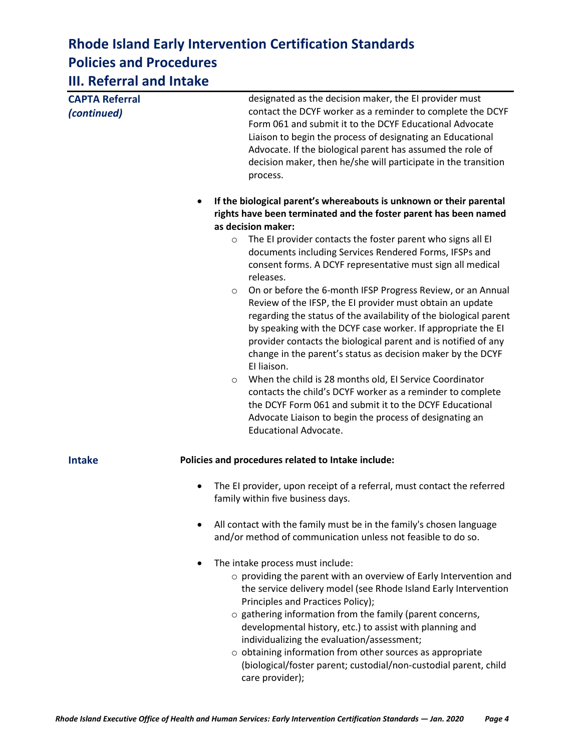| .                                    |                                                                                                                                                                                                                                                                                                                                                                                                                                                                                                                                                                                                                                                                                                                                                                                                                                                                                                                                   |
|--------------------------------------|-----------------------------------------------------------------------------------------------------------------------------------------------------------------------------------------------------------------------------------------------------------------------------------------------------------------------------------------------------------------------------------------------------------------------------------------------------------------------------------------------------------------------------------------------------------------------------------------------------------------------------------------------------------------------------------------------------------------------------------------------------------------------------------------------------------------------------------------------------------------------------------------------------------------------------------|
| <b>CAPTA Referral</b><br>(continued) | designated as the decision maker, the EI provider must<br>contact the DCYF worker as a reminder to complete the DCYF<br>Form 061 and submit it to the DCYF Educational Advocate<br>Liaison to begin the process of designating an Educational<br>Advocate. If the biological parent has assumed the role of<br>decision maker, then he/she will participate in the transition<br>process.                                                                                                                                                                                                                                                                                                                                                                                                                                                                                                                                         |
|                                      | If the biological parent's whereabouts is unknown or their parental<br>٠                                                                                                                                                                                                                                                                                                                                                                                                                                                                                                                                                                                                                                                                                                                                                                                                                                                          |
|                                      | rights have been terminated and the foster parent has been named                                                                                                                                                                                                                                                                                                                                                                                                                                                                                                                                                                                                                                                                                                                                                                                                                                                                  |
|                                      | as decision maker:                                                                                                                                                                                                                                                                                                                                                                                                                                                                                                                                                                                                                                                                                                                                                                                                                                                                                                                |
|                                      | The EI provider contacts the foster parent who signs all EI<br>$\circ$<br>documents including Services Rendered Forms, IFSPs and<br>consent forms. A DCYF representative must sign all medical<br>releases.<br>On or before the 6-month IFSP Progress Review, or an Annual<br>$\circ$<br>Review of the IFSP, the EI provider must obtain an update<br>regarding the status of the availability of the biological parent<br>by speaking with the DCYF case worker. If appropriate the EI<br>provider contacts the biological parent and is notified of any<br>change in the parent's status as decision maker by the DCYF<br>El liaison.<br>When the child is 28 months old, EI Service Coordinator<br>$\circ$<br>contacts the child's DCYF worker as a reminder to complete<br>the DCYF Form 061 and submit it to the DCYF Educational<br>Advocate Liaison to begin the process of designating an<br><b>Educational Advocate.</b> |
| <b>Intake</b>                        | Policies and procedures related to Intake include:                                                                                                                                                                                                                                                                                                                                                                                                                                                                                                                                                                                                                                                                                                                                                                                                                                                                                |
|                                      | The EI provider, upon receipt of a referral, must contact the referred<br>$\bullet$<br>family within five business days.                                                                                                                                                                                                                                                                                                                                                                                                                                                                                                                                                                                                                                                                                                                                                                                                          |
|                                      | All contact with the family must be in the family's chosen language<br>and/or method of communication unless not feasible to do so.                                                                                                                                                                                                                                                                                                                                                                                                                                                                                                                                                                                                                                                                                                                                                                                               |
|                                      | The intake process must include:<br>o providing the parent with an overview of Early Intervention and<br>the service delivery model (see Rhode Island Early Intervention<br>Principles and Practices Policy);<br>o gathering information from the family (parent concerns,<br>developmental history, etc.) to assist with planning and<br>individualizing the evaluation/assessment;<br>o obtaining information from other sources as appropriate<br>(biological/foster parent; custodial/non-custodial parent, child<br>care provider);                                                                                                                                                                                                                                                                                                                                                                                          |